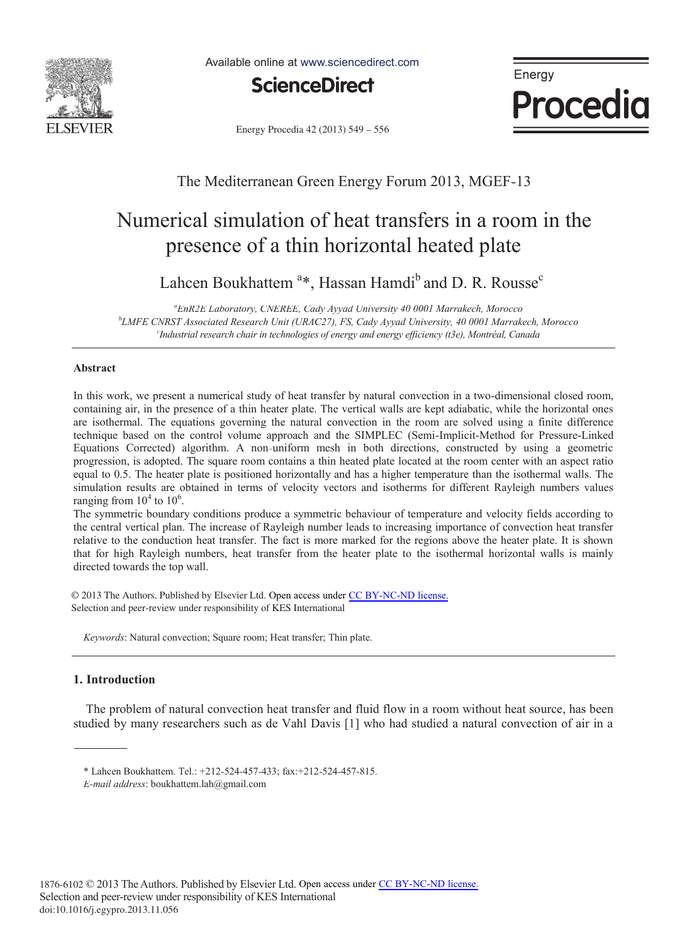

Available online at www.sciencedirect.com



Energy Procedia

Energy Procedia 42 (2013) 549 - 556

# The Mediterranean Green Energy Forum 2013, MGEF-13

# Numerical simulation of heat transfers in a room in the presence of a thin horizontal heated plate

Lahcen Boukhattem<sup>a</sup>\*, Hassan Hamdi<sup>b</sup> and D. R. Rousse<sup>c</sup>

*a EnR2E Laboratory, CNEREE, Cady Ayyad University 40 0001 Marrakech, Morocco b LMFE CNRST Associated Research Unit (URAC27), FS, Cady Ayyad University, 40 0001 Marrakech, Morocco c Industrial research chair in technologies of energy and energy efficiency (t3e), Montréal, Canada*

# **Abstract**

In this work, we present a numerical study of heat transfer by natural convection in a two-dimensional closed room, containing air, in the presence of a thin heater plate. The vertical walls are kept adiabatic, while the horizontal ones are isothermal. The equations governing the natural convection in the room are solved using a finite difference technique based on the control volume approach and the SIMPLEC (Semi-Implicit-Method for Pressure-Linked Equations Corrected) algorithm. A non-uniform mesh in both directions, constructed by using a geometric progression, is adopted. The square room contains a thin heated plate located at the room center with an aspect ratio equal to 0.5. The heater plate is positioned horizontally and has a higher temperature than the isothermal walls. The simulation results are obtained in terms of velocity vectors and isotherms for different Rayleigh numbers values ranging from  $10^4$  to  $10^6$ .

The symmetric boundary conditions produce a symmetric behaviour of temperature and velocity fields according to the central vertical plan. The increase of Rayleigh number leads to increasing importance of convection heat transfer relative to the conduction heat transfer. The fact is more marked for the regions above the heater plate. It is shown that for high Rayleigh numbers, heat transfer from the heater plate to the isothermal horizontal walls is mainly directed towards the top wall.

© 2013 The Authors. Published by Elsevier Ltd. Open access under [CC BY-NC-ND license.](http://creativecommons.org/licenses/by-nc-nd/3.0/) Selection and peer-review under responsibility of KES International. Selection and peer-review under responsibility of KES International

*Keywords*: Natural convection; Square room; Heat transfer; Thin plate.

# **1. Introduction**

The problem of natural convection heat transfer and fluid flow in a room without heat source, has been studied by many researchers such as de Vahl Davis [1] who had studied a natural convection of air in a

<sup>\*</sup> Lahcen Boukhattem. Tel.: +212-524-457-433; fax:+212-524-457-815.

*E-mail address*: boukhattem.lah@gmail.com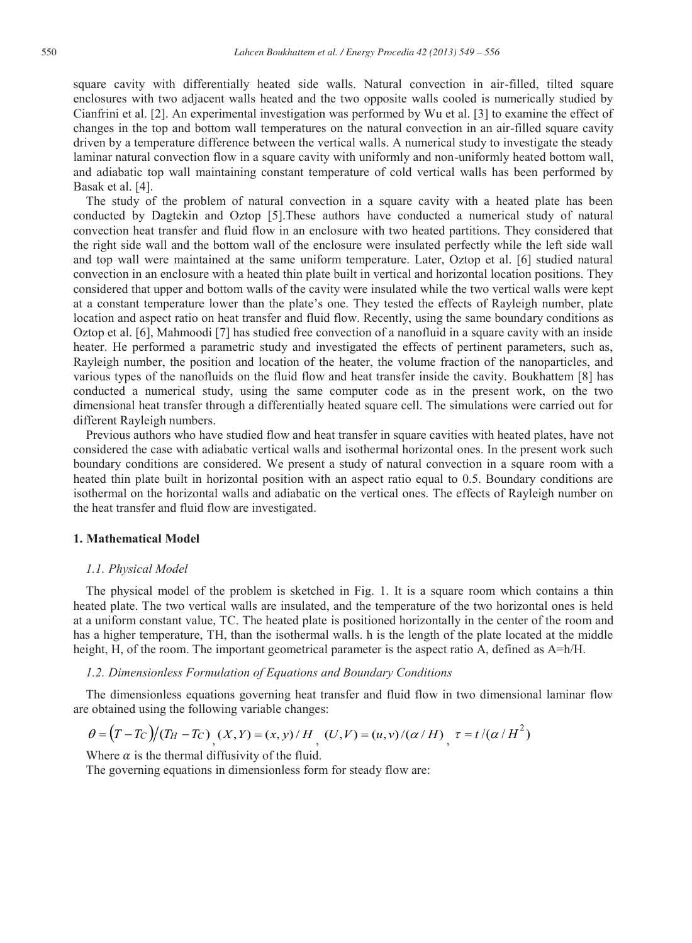square cavity with differentially heated side walls. Natural convection in air-filled, tilted square enclosures with two adjacent walls heated and the two opposite walls cooled is numerically studied by Cianfrini et al. [2]. An experimental investigation was performed by Wu et al. [3] to examine the effect of changes in the top and bottom wall temperatures on the natural convection in an air-filled square cavity driven by a temperature difference between the vertical walls. A numerical study to investigate the steady laminar natural convection flow in a square cavity with uniformly and non-uniformly heated bottom wall, and adiabatic top wall maintaining constant temperature of cold vertical walls has been performed by Basak et al. [4].

The study of the problem of natural convection in a square cavity with a heated plate has been conducted by Dagtekin and Oztop [5].These authors have conducted a numerical study of natural convection heat transfer and fluid flow in an enclosure with two heated partitions. They considered that the right side wall and the bottom wall of the enclosure were insulated perfectly while the left side wall and top wall were maintained at the same uniform temperature. Later, Oztop et al. [6] studied natural convection in an enclosure with a heated thin plate built in vertical and horizontal location positions. They considered that upper and bottom walls of the cavity were insulated while the two vertical walls were kept at a constant temperature lower than the plate's one. They tested the effects of Rayleigh number, plate location and aspect ratio on heat transfer and fluid flow. Recently, using the same boundary conditions as Oztop et al. [6], Mahmoodi [7] has studied free convection of a nanofluid in a square cavity with an inside heater. He performed a parametric study and investigated the effects of pertinent parameters, such as, Rayleigh number, the position and location of the heater, the volume fraction of the nanoparticles, and various types of the nanofluids on the fluid flow and heat transfer inside the cavity. Boukhattem [8] has conducted a numerical study, using the same computer code as in the present work, on the two dimensional heat transfer through a differentially heated square cell. The simulations were carried out for different Rayleigh numbers.

Previous authors who have studied flow and heat transfer in square cavities with heated plates, have not considered the case with adiabatic vertical walls and isothermal horizontal ones. In the present work such boundary conditions are considered. We present a study of natural convection in a square room with a heated thin plate built in horizontal position with an aspect ratio equal to 0.5. Boundary conditions are isothermal on the horizontal walls and adiabatic on the vertical ones. The effects of Rayleigh number on the heat transfer and fluid flow are investigated.

# **1. Mathematical Model**

## *1.1. Physical Model*

The physical model of the problem is sketched in Fig. 1. It is a square room which contains a thin heated plate. The two vertical walls are insulated, and the temperature of the two horizontal ones is held at a uniform constant value, TC. The heated plate is positioned horizontally in the center of the room and has a higher temperature, TH, than the isothermal walls. h is the length of the plate located at the middle height, H, of the room. The important geometrical parameter is the aspect ratio A, defined as  $A=h/H$ .

#### *1.2. Dimensionless Formulation of Equations and Boundary Conditions*

The dimensionless equations governing heat transfer and fluid flow in two dimensional laminar flow are obtained using the following variable changes:

$$
\theta = \left(T - T_C\right) / \left(T_H - T_C\right) \left(X, Y\right) = \left(x, y\right) / H \left( U, V\right) = \left(u, v\right) / \left(\alpha / H\right) \left(\frac{\tau}{H} = t / \left(\alpha / H^2\right)\right)
$$

Where  $\alpha$  is the thermal diffusivity of the fluid.

The governing equations in dimensionless form for steady flow are: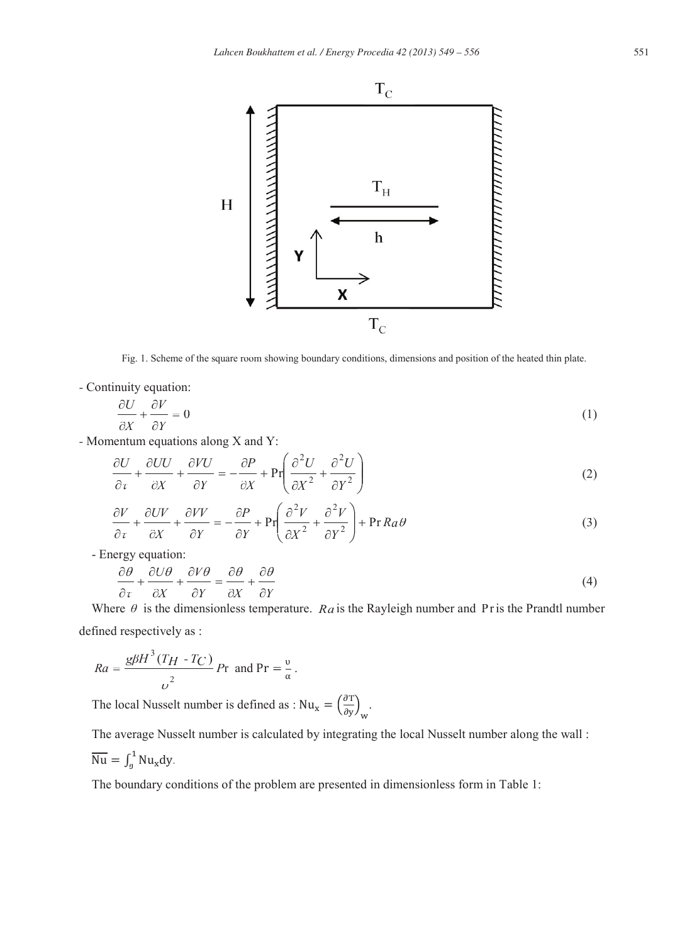

Fig. 1. Scheme of the square room showing boundary conditions, dimensions and position of the heated thin plate.

- Continuity equation:

$$
\frac{\partial U}{\partial X} + \frac{\partial V}{\partial Y} = 0\tag{1}
$$

- Momentum equations along X and Y:

$$
\frac{\partial U}{\partial \tau} + \frac{\partial UU}{\partial X} + \frac{\partial VU}{\partial Y} = -\frac{\partial P}{\partial X} + \Pr\left(\frac{\partial^2 U}{\partial X^2} + \frac{\partial^2 U}{\partial Y^2}\right)
$$
(2)

$$
\frac{\partial V}{\partial \tau} + \frac{\partial UV}{\partial X} + \frac{\partial VV}{\partial Y} = -\frac{\partial P}{\partial Y} + \Pr\left(\frac{\partial^2 V}{\partial X^2} + \frac{\partial^2 V}{\partial Y^2}\right) + \Pr R a \theta \tag{3}
$$

- Energy equation:

$$
\frac{\partial \theta}{\partial \tau} + \frac{\partial U \theta}{\partial X} + \frac{\partial V \theta}{\partial Y} = \frac{\partial \theta}{\partial X} + \frac{\partial \theta}{\partial Y}
$$
(4)

Where  $\theta$  is the dimensionless temperature. *Ra* is the Rayleigh number and Pr is the Prandtl number defined respectively as :

$$
Ra = \frac{g\beta H^3 (T_H - T_C)}{v^2} Pr \text{ and } Pr = \frac{v}{\alpha}.
$$

The local Nusselt number is defined as :  $Nu_x = \left(\frac{\partial T}{\partial x}\right)^2$  $\frac{\partial}{\partial y}$   $\Big|_{w}$ .

The average Nusselt number is calculated by integrating the local Nusselt number along the wall :

$$
\overline{\text{Nu}} = \int_0^1 \text{Nu}_x \text{dy}.
$$

The boundary conditions of the problem are presented in dimensionless form in Table 1: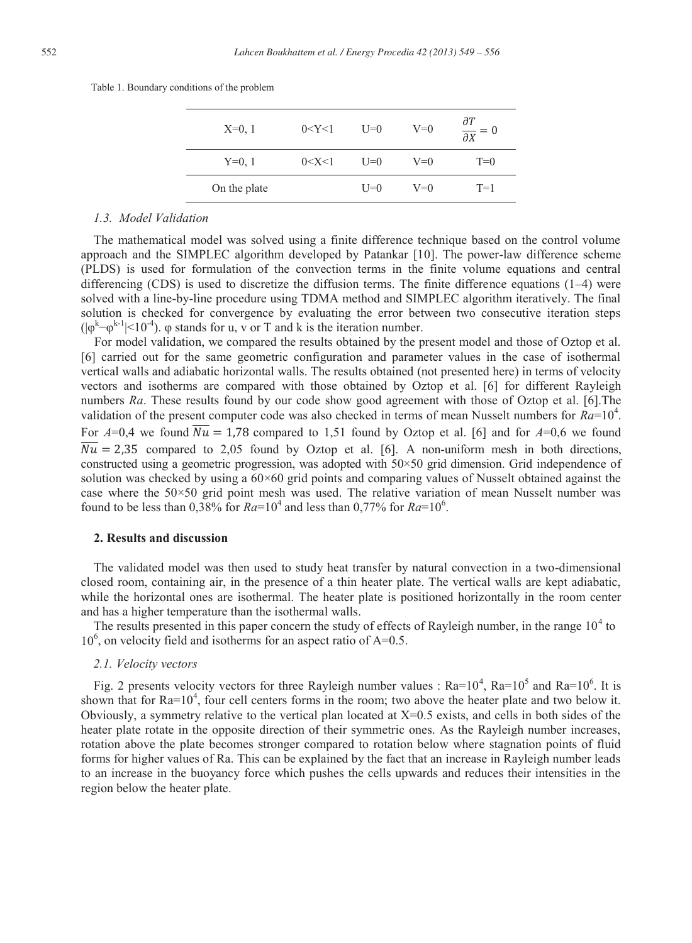| $X=0, 1$     | 0 < Y < 1 | $U=0$   | $V=0$ | $\frac{\partial T}{\partial X} = 0$ |
|--------------|-----------|---------|-------|-------------------------------------|
| $Y=0, 1$     | 0 < X < 1 | $I = 0$ | $V=0$ | $T=0$                               |
| On the plate |           | $I = 0$ | $V=0$ | $T=1$                               |

Table 1. Boundary conditions of the problem

# *1.3. Model Validation*

The mathematical model was solved using a finite difference technique based on the control volume approach and the SIMPLEC algorithm developed by Patankar [10]. The power-law difference scheme (PLDS) is used for formulation of the convection terms in the finite volume equations and central differencing (CDS) is used to discretize the diffusion terms. The finite difference equations  $(1-4)$  were solved with a line-by-line procedure using TDMA method and SIMPLEC algorithm iteratively. The final solution is checked for convergence by evaluating the error between two consecutive iteration steps  $(|\varphi^{k}-\varphi^{k-1}|<10^{-4})$ .  $\varphi$  stands for u, v or T and k is the iteration number.

For model validation, we compared the results obtained by the present model and those of Oztop et al. [6] carried out for the same geometric configuration and parameter values in the case of isothermal vertical walls and adiabatic horizontal walls. The results obtained (not presented here) in terms of velocity vectors and isotherms are compared with those obtained by Oztop et al. [6] for different Rayleigh numbers *Ra*. These results found by our code show good agreement with those of Oztop et al. [6].The validation of the present computer code was also checked in terms of mean Nusselt numbers for  $Ra=10^4$ . For  $A=0,4$  we found  $\overline{Nu} = 1.78$  compared to 1,51 found by Oztop et al. [6] and for  $A=0,6$  we found  $\overline{Nu}$  = 2,35 compared to 2,05 found by Oztop et al. [6]. A non-uniform mesh in both directions, constructed using a geometric progression, was adopted with 50×50 grid dimension. Grid independence of solution was checked by using a  $60\times60$  grid points and comparing values of Nusselt obtained against the case where the 50×50 grid point mesh was used. The relative variation of mean Nusselt number was found to be less than  $0,38\%$  for  $Ra=10^4$  and less than  $0,77\%$  for  $Ra=10^6$ .

# **2. Results and discussion**

The validated model was then used to study heat transfer by natural convection in a two-dimensional closed room, containing air, in the presence of a thin heater plate. The vertical walls are kept adiabatic, while the horizontal ones are isothermal. The heater plate is positioned horizontally in the room center and has a higher temperature than the isothermal walls.

The results presented in this paper concern the study of effects of Rayleigh number, in the range  $10<sup>4</sup>$  to 10<sup>6</sup>, on velocity field and isotherms for an aspect ratio of A=0.5.

# *2.1. Velocity vectors*

Fig. 2 presents velocity vectors for three Rayleigh number values :  $Ra=10^4$ ,  $Ra=10^5$  and  $Ra=10^6$ . It is shown that for  $Ra=10^4$ , four cell centers forms in the room; two above the heater plate and two below it. Obviously, a symmetry relative to the vertical plan located at  $X=0.5$  exists, and cells in both sides of the heater plate rotate in the opposite direction of their symmetric ones. As the Rayleigh number increases, rotation above the plate becomes stronger compared to rotation below where stagnation points of fluid forms for higher values of Ra. This can be explained by the fact that an increase in Rayleigh number leads to an increase in the buoyancy force which pushes the cells upwards and reduces their intensities in the region below the heater plate.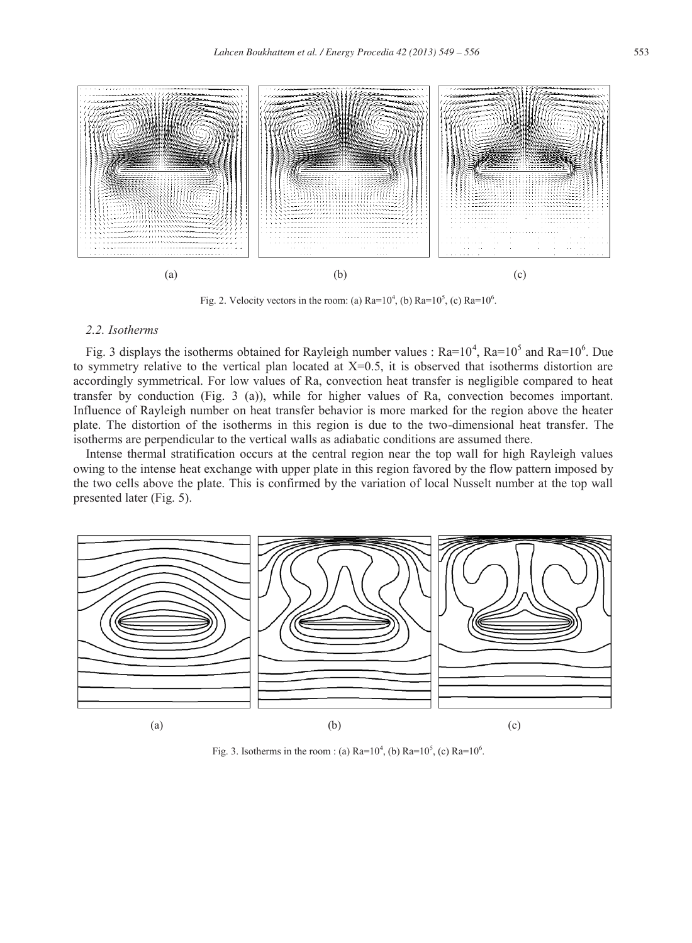



Fig. 2. Velocity vectors in the room: (a)  $Ra=10^4$ , (b)  $Ra=10^5$ , (c)  $Ra=10^6$ .

# *2.2. Isotherms*

Fig. 3 displays the isotherms obtained for Rayleigh number values :  $Ra=10^4$ ,  $Ra=10^5$  and  $Ra=10^6$ . Due to symmetry relative to the vertical plan located at  $X=0.5$ , it is observed that isotherms distortion are accordingly symmetrical. For low values of Ra, convection heat transfer is negligible compared to heat transfer by conduction (Fig. 3 (a)), while for higher values of Ra, convection becomes important. Influence of Rayleigh number on heat transfer behavior is more marked for the region above the heater plate. The distortion of the isotherms in this region is due to the two-dimensional heat transfer. The isotherms are perpendicular to the vertical walls as adiabatic conditions are assumed there.

Intense thermal stratification occurs at the central region near the top wall for high Rayleigh values owing to the intense heat exchange with upper plate in this region favored by the flow pattern imposed by the two cells above the plate. This is confirmed by the variation of local Nusselt number at the top wall presented later (Fig. 5).



Fig. 3. Isotherms in the room : (a)  $Ra=10^4$ , (b)  $Ra=10^5$ , (c)  $Ra=10^6$ .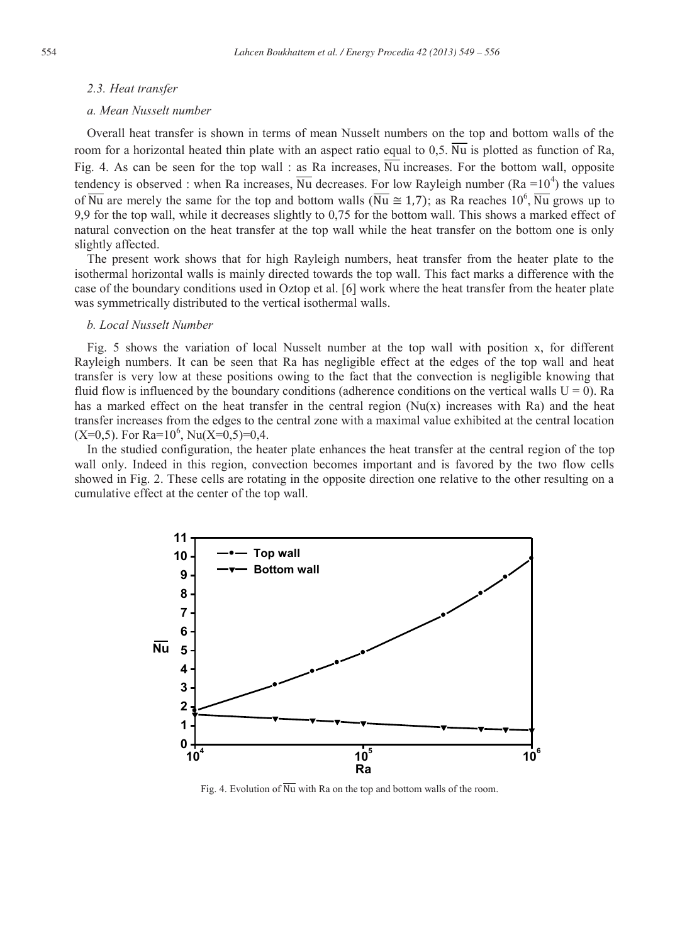#### *2.3. Heat transfer*

## *a. Mean Nusselt number*

Overall heat transfer is shown in terms of mean Nusselt numbers on the top and bottom walls of the room for a horizontal heated thin plate with an aspect ratio equal to 0,5.  $\overline{Nu}$  is plotted as function of Ra, Fig. 4. As can be seen for the top wall : as Ra increases,  $\overline{Nu}$  increases. For the bottom wall, opposite tendency is observed : when Ra increases,  $\overline{Nu}$  decreases. For low Rayleigh number (Ra =10<sup>4</sup>) the values of  $\overline{Nu}$  are merely the same for the top and bottom walls ( $\overline{Nu} \cong 1.7$ ); as Ra reaches  $10^6$ ,  $\overline{Nu}$  grows up to 9,9 for the top wall, while it decreases slightly to 0,75 for the bottom wall. This shows a marked effect of natural convection on the heat transfer at the top wall while the heat transfer on the bottom one is only slightly affected.

The present work shows that for high Rayleigh numbers, heat transfer from the heater plate to the isothermal horizontal walls is mainly directed towards the top wall. This fact marks a difference with the case of the boundary conditions used in Oztop et al. [6] work where the heat transfer from the heater plate was symmetrically distributed to the vertical isothermal walls.

#### *b. Local Nusselt Number*

Fig. 5 shows the variation of local Nusselt number at the top wall with position x, for different Rayleigh numbers. It can be seen that Ra has negligible effect at the edges of the top wall and heat transfer is very low at these positions owing to the fact that the convection is negligible knowing that fluid flow is influenced by the boundary conditions (adherence conditions on the vertical walls  $U = 0$ ). Ra has a marked effect on the heat transfer in the central region  $(Nu(x))$  increases with Ra) and the heat transfer increases from the edges to the central zone with a maximal value exhibited at the central location  $(X=0,5)$ . For Ra= $10^6$ , Nu $(X=0,5)=0,4$ .

In the studied configuration, the heater plate enhances the heat transfer at the central region of the top wall only. Indeed in this region, convection becomes important and is favored by the two flow cells showed in Fig. 2. These cells are rotating in the opposite direction one relative to the other resulting on a cumulative effect at the center of the top wall.



Fig. 4. Evolution of  $\overline{Nu}$  with Ra on the top and bottom walls of the room.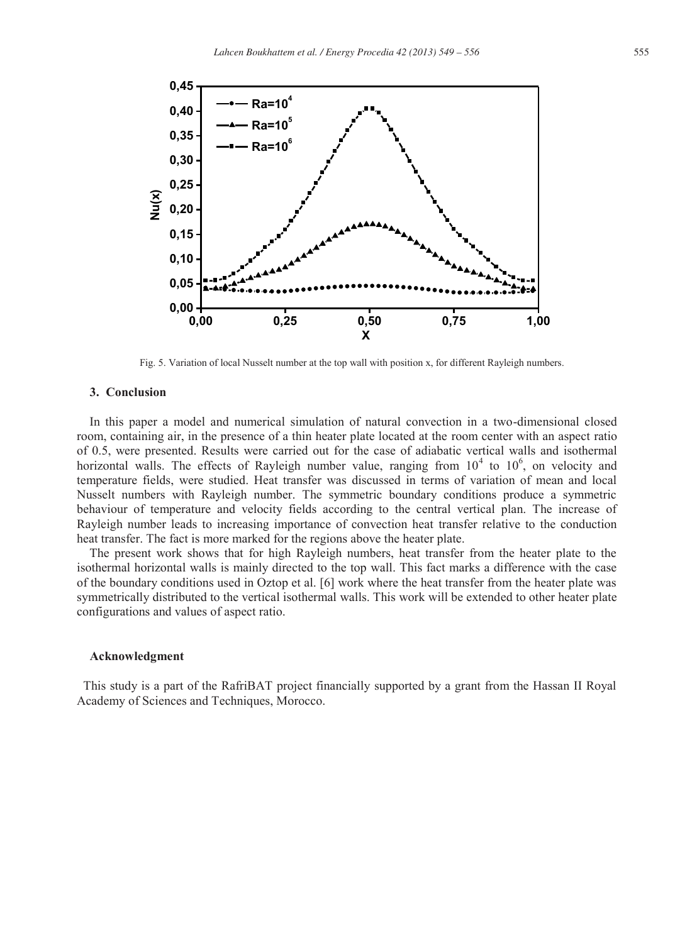

Fig. 5. Variation of local Nusselt number at the top wall with position x, for different Rayleigh numbers.

# **3. Conclusion**

In this paper a model and numerical simulation of natural convection in a two-dimensional closed room, containing air, in the presence of a thin heater plate located at the room center with an aspect ratio of 0.5, were presented. Results were carried out for the case of adiabatic vertical walls and isothermal horizontal walls. The effects of Rayleigh number value, ranging from  $10^4$  to  $10^6$ , on velocity and temperature fields, were studied. Heat transfer was discussed in terms of variation of mean and local Nusselt numbers with Rayleigh number. The symmetric boundary conditions produce a symmetric behaviour of temperature and velocity fields according to the central vertical plan. The increase of Rayleigh number leads to increasing importance of convection heat transfer relative to the conduction heat transfer. The fact is more marked for the regions above the heater plate.

The present work shows that for high Rayleigh numbers, heat transfer from the heater plate to the isothermal horizontal walls is mainly directed to the top wall. This fact marks a difference with the case of the boundary conditions used in Oztop et al. [6] work where the heat transfer from the heater plate was symmetrically distributed to the vertical isothermal walls. This work will be extended to other heater plate configurations and values of aspect ratio.

#### **Acknowledgment**

This study is a part of the RafriBAT project financially supported by a grant from the Hassan II Royal Academy of Sciences and Techniques, Morocco.